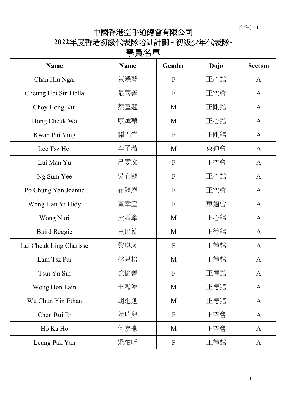附件(一)

## 中國香港空手道總會有限公司

**2022**年度香港初級代表隊培訓計劃 **-** 初級少年代表隊**-**

| <b>Name</b>             | <b>Name</b> | Gender           | Dojo | <b>Section</b> |
|-------------------------|-------------|------------------|------|----------------|
| Chan Hiu Ngai           | 陳曉藝         | $\mathbf{F}$     | 正心館  | $\mathbf{A}$   |
| Cheung Hei Sin Della    | 張喜善         | $\mathbf{F}$     | 正空會  | $\mathbf{A}$   |
| Choy Hong Kiu           | 蔡匡翹         | M                | 正剛館  | A              |
| Hong Cheuk Wa           | 康焯華         | M                | 正心館  | $\mathbf{A}$   |
| Kwan Pui Ying           | 關咄瀅         | $\mathbf F$      | 正剛館  | $\mathbf{A}$   |
| Lee Tsz Hei             | 李子希         | M                | 東道會  | A              |
| Lui Man Yu              | 呂雯洳         | $\mathbf{F}$     | 正空會  | $\mathbf{A}$   |
| Ng Sum Yee              | 吳心頤         | F                | 正心館  | $\mathbf{A}$   |
| Po Chung Yan Joanne     | 布頌恩         | F                | 正空會  | $\mathbf{A}$   |
| Wong Han Yi Hidy        | 黃幸宜         | $\mathbf F$      | 東道會  | $\mathbf{A}$   |
| Wong Nuri               | 黃溢牽         | M                | 正心館  | A              |
| <b>Baird Reggie</b>     | 貝以德         | M                | 正德館  | $\mathbf{A}$   |
| Lai Cheuk Ling Charisse | 黎卓凌         | $\boldsymbol{F}$ | 正德館  | A              |
| Lam Tsz Pui             | 林只棓         | M                | 正德館  | $\mathbf{A}$   |
| Tsui Yu Sin             | 徐愉善         | $\mathbf{F}$     | 正德館  | A              |
| Wong Hon Lam            | 王瀚凛         | M                | 正德館  | $\mathbf{A}$   |
| Wu Chun Yin Ethan       | 胡進延         | M                | 正德館  | $\mathbf{A}$   |
| Chen Rui Er             | 陳瑞兒         | $\mathbf{F}$     | 正空會  | $\mathbf{A}$   |
| Ho Ka Ho                | 何嘉豪         | M                | 正空會  | A              |
| Leung Pak Yan           | 梁柏昕         | $\mathbf{F}$     | 正德館  | $\mathbf{A}$   |

## 學員名單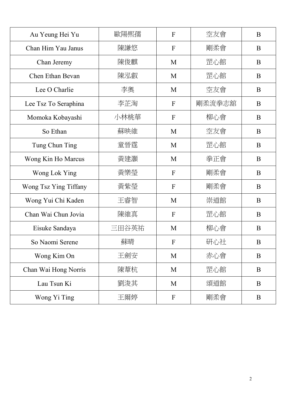| Au Yeung Hei Yu       | 歐陽熙孺  | $\overline{F}$            | 空友會    | B            |
|-----------------------|-------|---------------------------|--------|--------------|
| Chan Him Yau Janus    | 陳謙悠   | F                         | 剛柔會    | B            |
| Chan Jeremy           | 陳俊麒   | M                         | 罡心館    | $\bf{B}$     |
| Chen Ethan Bevan      | 陳泓叡   | M                         | 罡心館    | B            |
| Lee O Charlie         | 李奧    | M                         | 空友會    | B            |
| Lee Tsz To Seraphina  | 李芷淘   | $\mathbf{F}$              | 剛柔流拳志舘 | B            |
| Momoka Kobayashi      | 小林桃華  | $\mathbf{F}$              | 柳心會    | B            |
| So Ethan              | 蘇映維   | M                         | 空友會    | B            |
| Tung Chun Ting        | 童晉霆   | M                         | 罡心館    | B            |
| Wong Kin Ho Marcus    | 黃建灝   | M                         | 拳正會    | B            |
| Wong Lok Ying         | 黃樂瑩   | $\mathbf{F}$              | 剛柔會    | $\bf{B}$     |
| Wong Tsz Ying Tiffany | 黃紫瑩   | $\mathbf{F}$              | 剛柔會    | B            |
| Wong Yui Chi Kaden    | 王睿智   | M                         | 崇道館    | B            |
| Chan Wai Chun Jovia   | 陳維真   | $\mathbf{F}$              | 罡心館    | B            |
| Eisuke Sandaya        | 三田谷英祐 | M                         | 柳心會    | B            |
| So Naomi Serene       | 蘇晴    | $\boldsymbol{\mathrm{F}}$ | 研心社    | $\, {\bf B}$ |
| Wong Kim On           | 王劍安   | M                         | 赤心會    | $\bf{B}$     |
| Chan Wai Hong Norris  | 陳葦杭   | M                         | 罡心館    | B            |
| Lau Tsun Ki           | 劉浚其   | M                         | 頌道館    | B            |
| Wong Yi Ting          | 王爾婷   | $\mathbf F$               | 剛柔會    | B            |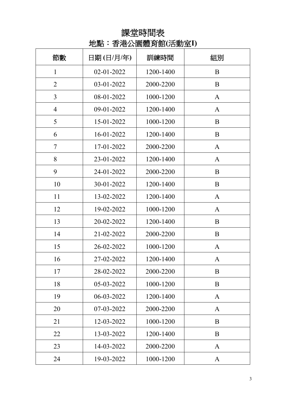## 課堂時間表 地點︰香港公園體育館**(**活動室**I)**

| 節數             | 日期(日/月/年)  | 訓練時間      | 組別           |
|----------------|------------|-----------|--------------|
| $\mathbf{1}$   | 02-01-2022 | 1200-1400 | B            |
| $\overline{2}$ | 03-01-2022 | 2000-2200 | B            |
| 3              | 08-01-2022 | 1000-1200 | A            |
| $\overline{4}$ | 09-01-2022 | 1200-1400 | $\mathbf{A}$ |
| 5              | 15-01-2022 | 1000-1200 | B            |
| 6              | 16-01-2022 | 1200-1400 | B            |
| $\tau$         | 17-01-2022 | 2000-2200 | $\mathbf{A}$ |
| 8              | 23-01-2022 | 1200-1400 | $\mathbf{A}$ |
| 9              | 24-01-2022 | 2000-2200 | B            |
| 10             | 30-01-2022 | 1200-1400 | B            |
| 11             | 13-02-2022 | 1200-1400 | A            |
| 12             | 19-02-2022 | 1000-1200 | A            |
| 13             | 20-02-2022 | 1200-1400 | B            |
| 14             | 21-02-2022 | 2000-2200 | B            |
| 15             | 26-02-2022 | 1000-1200 | A            |
| 16             | 27-02-2022 | 1200-1400 | $\mathbf{A}$ |
| 17             | 28-02-2022 | 2000-2200 | B            |
| 18             | 05-03-2022 | 1000-1200 | B            |
| 19             | 06-03-2022 | 1200-1400 | $\mathbf{A}$ |
| 20             | 07-03-2022 | 2000-2200 | A            |
| 21             | 12-03-2022 | 1000-1200 | B            |
| 22             | 13-03-2022 | 1200-1400 | B            |
| 23             | 14-03-2022 | 2000-2200 | A            |
| 24             | 19-03-2022 | 1000-1200 | $\mathbf{A}$ |